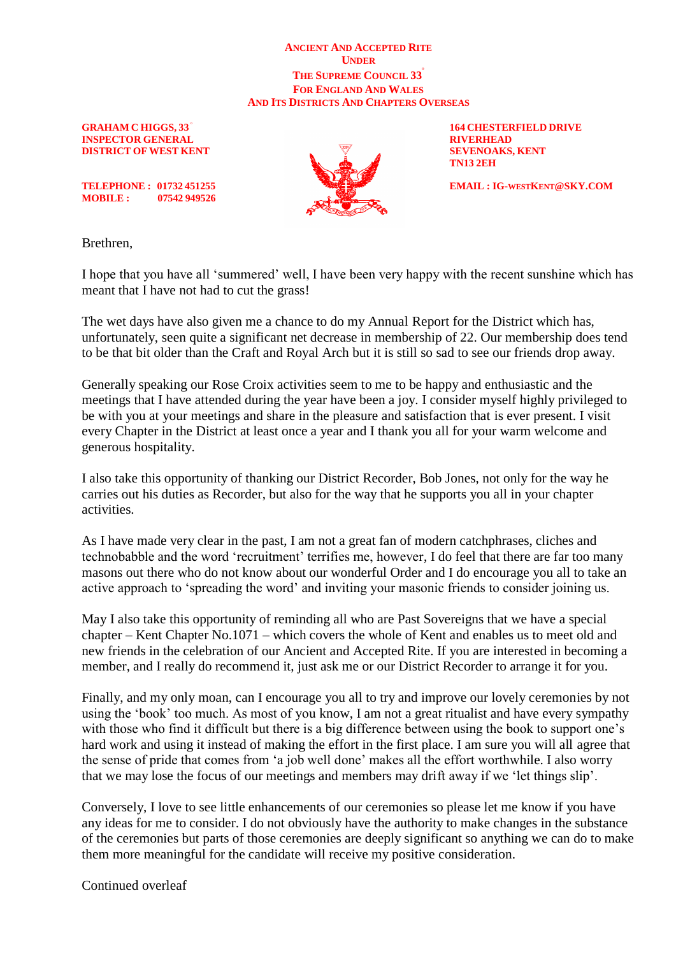## **ANCIENT AND ACCEPTED RITE UNDER THE SUPREME COUNCIL 33**<sup>º</sup> **FOR ENGLAND AND WALES AND ITS DISTRICTS AND CHAPTERS OVERSEAS**

**GRAHAM C HIGGS, 33** <sup>º</sup> **INSPECTOR GENERAL RIVERHEAD DISTRICT OF WEST KENT SEVENOAKS, KENT** 



**164 CHESTERFIELD DRIVE TN13 2EH**

**TELEPHONE :** 01732 451255 **EMAIL : EMAIL : IG-WESTKENT@SKY.COM** 

**MOBILE : 07542 949526**

Brethren,

I hope that you have all 'summered' well, I have been very happy with the recent sunshine which has meant that I have not had to cut the grass!

The wet days have also given me a chance to do my Annual Report for the District which has, unfortunately, seen quite a significant net decrease in membership of 22. Our membership does tend to be that bit older than the Craft and Royal Arch but it is still so sad to see our friends drop away.

Generally speaking our Rose Croix activities seem to me to be happy and enthusiastic and the meetings that I have attended during the year have been a joy. I consider myself highly privileged to be with you at your meetings and share in the pleasure and satisfaction that is ever present. I visit every Chapter in the District at least once a year and I thank you all for your warm welcome and generous hospitality.

I also take this opportunity of thanking our District Recorder, Bob Jones, not only for the way he carries out his duties as Recorder, but also for the way that he supports you all in your chapter activities.

As I have made very clear in the past, I am not a great fan of modern catchphrases, cliches and technobabble and the word 'recruitment' terrifies me, however, I do feel that there are far too many masons out there who do not know about our wonderful Order and I do encourage you all to take an active approach to 'spreading the word' and inviting your masonic friends to consider joining us.

May I also take this opportunity of reminding all who are Past Sovereigns that we have a special chapter – Kent Chapter No.1071 – which covers the whole of Kent and enables us to meet old and new friends in the celebration of our Ancient and Accepted Rite. If you are interested in becoming a member, and I really do recommend it, just ask me or our District Recorder to arrange it for you.

Finally, and my only moan, can I encourage you all to try and improve our lovely ceremonies by not using the 'book' too much. As most of you know, I am not a great ritualist and have every sympathy with those who find it difficult but there is a big difference between using the book to support one's hard work and using it instead of making the effort in the first place. I am sure you will all agree that the sense of pride that comes from 'a job well done' makes all the effort worthwhile. I also worry that we may lose the focus of our meetings and members may drift away if we 'let things slip'.

Conversely, I love to see little enhancements of our ceremonies so please let me know if you have any ideas for me to consider. I do not obviously have the authority to make changes in the substance of the ceremonies but parts of those ceremonies are deeply significant so anything we can do to make them more meaningful for the candidate will receive my positive consideration.

Continued overleaf